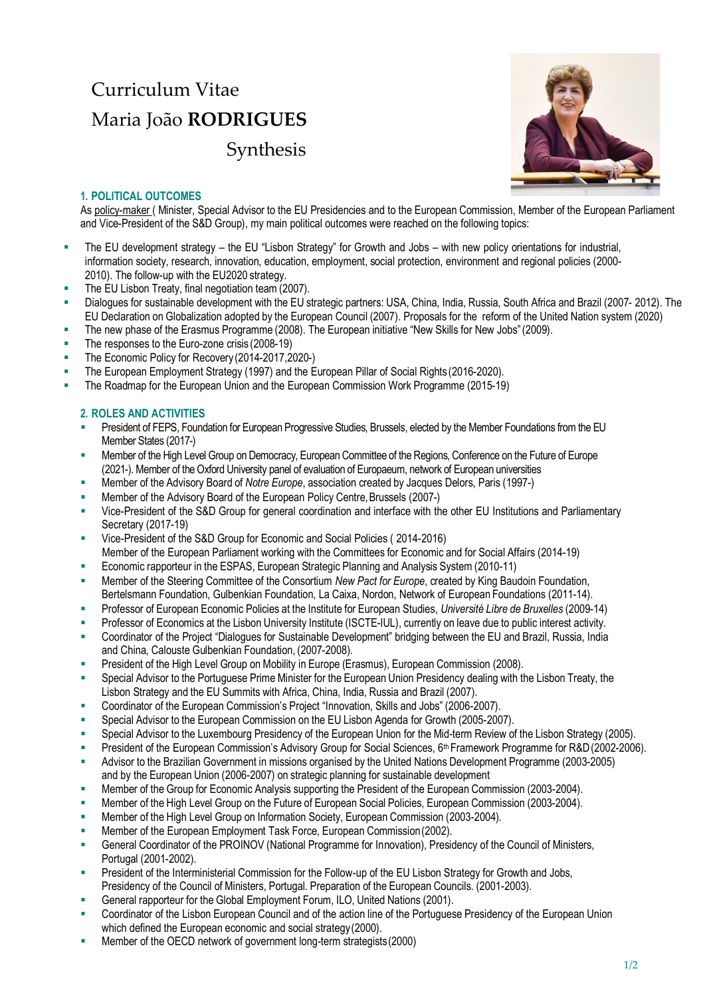## Curriculum Vitae Maria João **RODRIGUES** Synthesis



## **1. POLITICAL OUTCOMES**

As policy-maker ( Minister, Special Advisor to the EU Presidencies and to the European Commission, Member of the European Parliament and Vice-President of the S&D Group), my main political outcomes were reached on the following topics:

- **EXECT ADDENT THE EU development strategy the EU** "Lisbon Strategy" for Growth and Jobs with new policy orientations for industrial, information society, research, innovation, education, employment, social protection, environment and regional policies (2000- 2010). The follow-up with the EU2020 strategy.
- The EU Lisbon Treaty, final negotiation team (2007).
- Dialogues for sustainable development with the EU strategic partners: USA, China, India, Russia, South Africa and Brazil (2007- 2012). The EU Declaration on Globalization adopted by the European Council (2007). Proposals for the reform of the United Nation system (2020)
- The new phase of the Erasmus Programme (2008). The European initiative "New Skills for New Jobs" (2009).
- The responses to the Euro-zone crisis (2008-19)
- The Economic Policy for Recovery (2014-2017, 2020-)
- The European Employment Strategy (1997) and the European Pillar of Social Rights (2016-2020).
- The Roadmap for the European Union and the European Commission Work Programme (2015-19)

## **2. ROLES AND ACTIVITIES**

- President of FEPS, Foundation for European Progressive Studies, Brussels, elected by the Member Foundations from the EU Member States (2017-)
- **■** Member of the High Level Group on Democracy, European Committee of the Regions, Conference on the Future of Europe (2021-). Member of the Oxford University panel of evaluation of Europaeum, network of European universities
- Member of the Advisory Board of *Notre Europe*, association created by Jacques Delors, Paris (1997-)
- Member of the Advisory Board of the European Policy Centre, Brussels (2007-)
- Vice-President of the S&D Group for general coordination and interface with the other EU Institutions and Parliamentary Secretary (2017-19)
- Vice-President of the S&D Group for Economic and Social Policies (2014-2016) Member of the European Parliament working with the Committees for Economic and for Social Affairs (2014-19)
- Economic rapporteur in the ESPAS, European Strategic Planning and Analysis System (2010-11)
- Member of the Steering Committee of the Consortium *New Pact for Europe*, created by King Baudoin Foundation, Bertelsmann Foundation, Gulbenkian Foundation, La Caixa, Nordon, Network of European Foundations (2011-14).
- Professor of European Economic Policies at the Institute for European Studies, *Université Libre de Bruxelles* (2009-14)
- Professor of Economics at the Lisbon University Institute (ISCTE-IUL), currently on leave due to public interest activity.
- Coordinator of the Project "Dialogues for Sustainable Development" bridging between the EU and Brazil, Russia, India and China, Calouste Gulbenkian Foundation, (2007-2008).
- President of the High Level Group on Mobility in Europe (Erasmus), European Commission (2008).
- Special Advisor to the Portuguese Prime Minister for the European Union Presidency dealing with the Lisbon Treaty, the Lisbon Strategy and the EU Summits with Africa, China, India, Russia and Brazil (2007).
- Coordinator of the European Commission's Project "Innovation, Skills and Jobs" (2006-2007).
- Special Advisor to the European Commission on the EU Lisbon Agenda for Growth (2005-2007).
- Special Advisor to the Luxembourg Presidency of the European Union for the Mid-term Review of the Lisbon Strategy (2005).
- President of the European Commission's Advisory Group for Social Sciences, 6<sup>th</sup> Framework Programme for R&D(2002-2006).
- Advisor to the Brazilian Government in missions organised by the United Nations Development Programme (2003-2005) and by the European Union (2006-2007) on strategic planning for sustainable development
- Member of the Group for Economic Analysis supporting the President of the European Commission (2003-2004).
- Member of the High Level Group on the Future of European Social Policies, European Commission (2003-2004).
- Member of the High Level Group on Information Society, European Commission (2003-2004).
- Member of the European Employment Task Force, European Commission (2002).
- General Coordinator of the PROINOV (National Programme for Innovation), Presidency of the Council of Ministers, Portugal (2001-2002).
- President of the Interministerial Commission for the Follow-up of the EU Lisbon Strategy for Growth and Jobs, Presidency of the Council of Ministers, Portugal. Preparation of the European Councils. (2001-2003).
- General rapporteur for the Global Employment Forum, ILO, United Nations (2001).
- Coordinator of the Lisbon European Council and of the action line of the Portuguese Presidency of the European Union which defined the European economic and social strategy (2000).
- Member of the OECD network of government long-term strategists (2000)